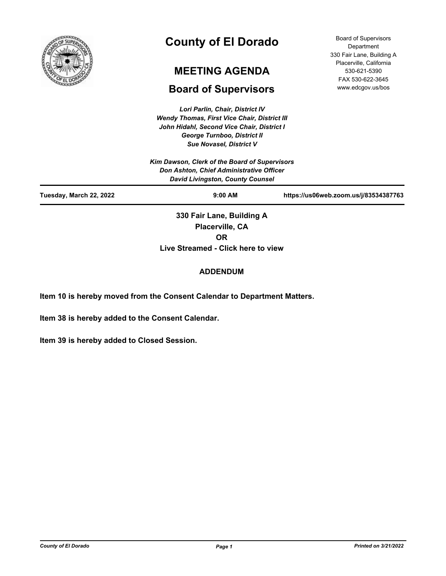

# **County of El Dorado**

# **MEETING AGENDA**

## **Board of Supervisors**

*Lori Parlin, Chair, District IV Wendy Thomas, First Vice Chair, District III John Hidahl, Second Vice Chair, District I George Turnboo, District II*

*Sue Novasel, District V Kim Dawson, Clerk of the Board of Supervisors Don Ashton, Chief Administrative Officer David Livingston, County Counsel* **Tuesday, March 22, 2022 9:00 AM https://us06web.zoom.us/j/83534387763 330 Fair Lane, Building A Placerville, CA** 

**OR**

**Live Streamed - Click here to view**

## **ADDENDUM**

**Item 10 is hereby moved from the Consent Calendar to Department Matters.**

**Item 38 is hereby added to the Consent Calendar.**

**Item 39 is hereby added to Closed Session.**

Board of Supervisors **Department** 330 Fair Lane, Building A Placerville, California 530-621-5390 FAX 530-622-3645 www.edcgov.us/bos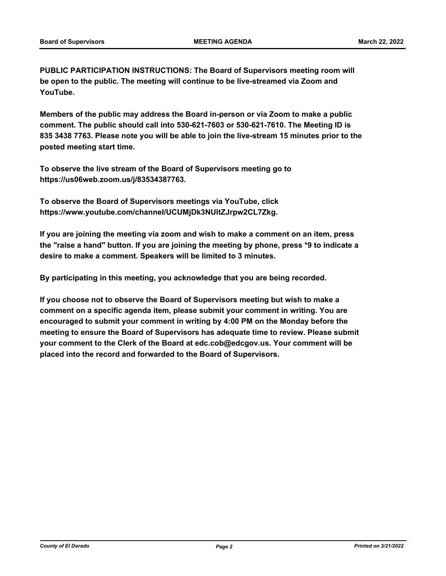**PUBLIC PARTICIPATION INSTRUCTIONS: The Board of Supervisors meeting room will be open to the public. The meeting will continue to be live-streamed via Zoom and YouTube.**

**Members of the public may address the Board in-person or via Zoom to make a public comment. The public should call into 530-621-7603 or 530-621-7610. The Meeting ID is 835 3438 7763. Please note you will be able to join the live-stream 15 minutes prior to the posted meeting start time.**

**To observe the live stream of the Board of Supervisors meeting go to https://us06web.zoom.us/j/83534387763.**

**To observe the Board of Supervisors meetings via YouTube, click https://www.youtube.com/channel/UCUMjDk3NUltZJrpw2CL7Zkg.**

**If you are joining the meeting via zoom and wish to make a comment on an item, press the "raise a hand" button. If you are joining the meeting by phone, press \*9 to indicate a desire to make a comment. Speakers will be limited to 3 minutes.**

**By participating in this meeting, you acknowledge that you are being recorded.**

**If you choose not to observe the Board of Supervisors meeting but wish to make a comment on a specific agenda item, please submit your comment in writing. You are encouraged to submit your comment in writing by 4:00 PM on the Monday before the meeting to ensure the Board of Supervisors has adequate time to review. Please submit your comment to the Clerk of the Board at edc.cob@edcgov.us. Your comment will be placed into the record and forwarded to the Board of Supervisors.**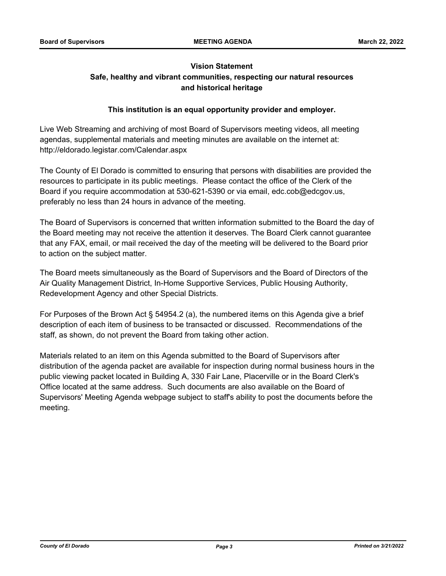## **Vision Statement Safe, healthy and vibrant communities, respecting our natural resources and historical heritage**

## **This institution is an equal opportunity provider and employer.**

Live Web Streaming and archiving of most Board of Supervisors meeting videos, all meeting agendas, supplemental materials and meeting minutes are available on the internet at: http://eldorado.legistar.com/Calendar.aspx

The County of El Dorado is committed to ensuring that persons with disabilities are provided the resources to participate in its public meetings. Please contact the office of the Clerk of the Board if you require accommodation at 530-621-5390 or via email, edc.cob@edcgov.us, preferably no less than 24 hours in advance of the meeting.

The Board of Supervisors is concerned that written information submitted to the Board the day of the Board meeting may not receive the attention it deserves. The Board Clerk cannot guarantee that any FAX, email, or mail received the day of the meeting will be delivered to the Board prior to action on the subject matter.

The Board meets simultaneously as the Board of Supervisors and the Board of Directors of the Air Quality Management District, In-Home Supportive Services, Public Housing Authority, Redevelopment Agency and other Special Districts.

For Purposes of the Brown Act § 54954.2 (a), the numbered items on this Agenda give a brief description of each item of business to be transacted or discussed. Recommendations of the staff, as shown, do not prevent the Board from taking other action.

Materials related to an item on this Agenda submitted to the Board of Supervisors after distribution of the agenda packet are available for inspection during normal business hours in the public viewing packet located in Building A, 330 Fair Lane, Placerville or in the Board Clerk's Office located at the same address. Such documents are also available on the Board of Supervisors' Meeting Agenda webpage subject to staff's ability to post the documents before the meeting.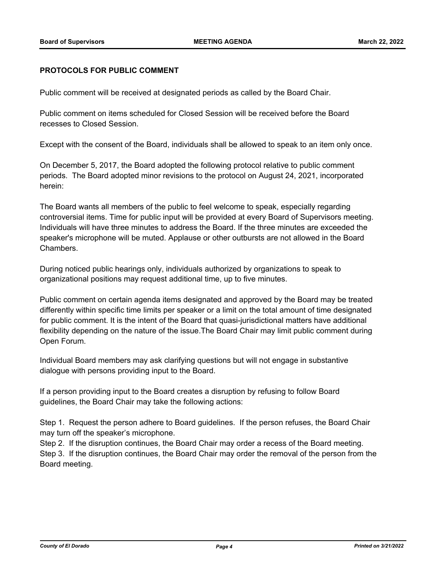#### **PROTOCOLS FOR PUBLIC COMMENT**

Public comment will be received at designated periods as called by the Board Chair.

Public comment on items scheduled for Closed Session will be received before the Board recesses to Closed Session.

Except with the consent of the Board, individuals shall be allowed to speak to an item only once.

On December 5, 2017, the Board adopted the following protocol relative to public comment periods. The Board adopted minor revisions to the protocol on August 24, 2021, incorporated herein:

The Board wants all members of the public to feel welcome to speak, especially regarding controversial items. Time for public input will be provided at every Board of Supervisors meeting. Individuals will have three minutes to address the Board. If the three minutes are exceeded the speaker's microphone will be muted. Applause or other outbursts are not allowed in the Board Chambers.

During noticed public hearings only, individuals authorized by organizations to speak to organizational positions may request additional time, up to five minutes.

Public comment on certain agenda items designated and approved by the Board may be treated differently within specific time limits per speaker or a limit on the total amount of time designated for public comment. It is the intent of the Board that quasi-jurisdictional matters have additional flexibility depending on the nature of the issue.The Board Chair may limit public comment during Open Forum.

Individual Board members may ask clarifying questions but will not engage in substantive dialogue with persons providing input to the Board.

If a person providing input to the Board creates a disruption by refusing to follow Board guidelines, the Board Chair may take the following actions:

Step 1. Request the person adhere to Board guidelines. If the person refuses, the Board Chair may turn off the speaker's microphone.

Step 2. If the disruption continues, the Board Chair may order a recess of the Board meeting. Step 3. If the disruption continues, the Board Chair may order the removal of the person from the Board meeting.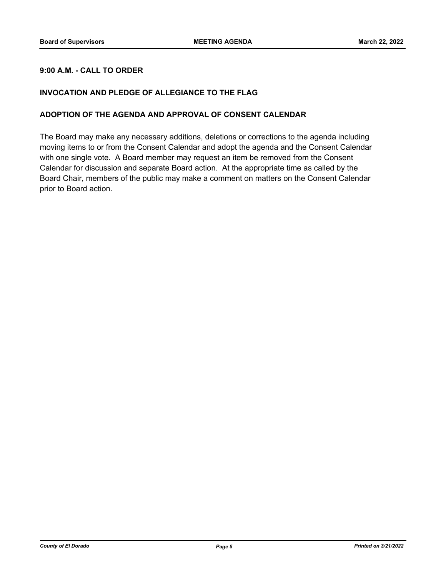## **9:00 A.M. - CALL TO ORDER**

#### **INVOCATION AND PLEDGE OF ALLEGIANCE TO THE FLAG**

#### **ADOPTION OF THE AGENDA AND APPROVAL OF CONSENT CALENDAR**

The Board may make any necessary additions, deletions or corrections to the agenda including moving items to or from the Consent Calendar and adopt the agenda and the Consent Calendar with one single vote. A Board member may request an item be removed from the Consent Calendar for discussion and separate Board action. At the appropriate time as called by the Board Chair, members of the public may make a comment on matters on the Consent Calendar prior to Board action.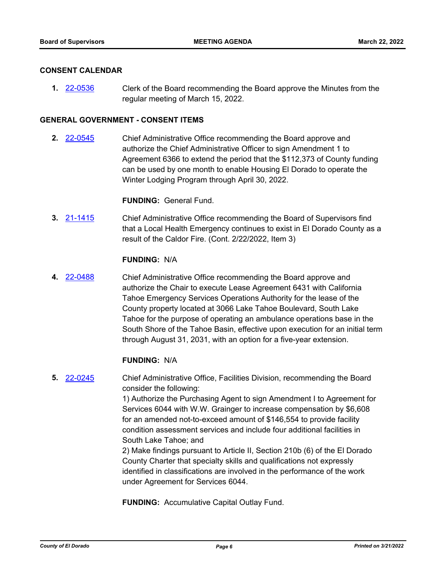#### **CONSENT CALENDAR**

**1.** [22-0536](http://eldorado.legistar.com/gateway.aspx?m=l&id=/matter.aspx?key=31437) Clerk of the Board recommending the Board approve the Minutes from the regular meeting of March 15, 2022.

#### **GENERAL GOVERNMENT - CONSENT ITEMS**

**2.** [22-0545](http://eldorado.legistar.com/gateway.aspx?m=l&id=/matter.aspx?key=31446) Chief Administrative Office recommending the Board approve and authorize the Chief Administrative Officer to sign Amendment 1 to Agreement 6366 to extend the period that the \$112,373 of County funding can be used by one month to enable Housing El Dorado to operate the Winter Lodging Program through April 30, 2022.

**FUNDING:** General Fund.

**3.** [21-1415](http://eldorado.legistar.com/gateway.aspx?m=l&id=/matter.aspx?key=30310) Chief Administrative Office recommending the Board of Supervisors find that a Local Health Emergency continues to exist in El Dorado County as a result of the Caldor Fire. (Cont. 2/22/2022, Item 3)

#### **FUNDING:** N/A

**4.** [22-0488](http://eldorado.legistar.com/gateway.aspx?m=l&id=/matter.aspx?key=31389) Chief Administrative Office recommending the Board approve and authorize the Chair to execute Lease Agreement 6431 with California Tahoe Emergency Services Operations Authority for the lease of the County property located at 3066 Lake Tahoe Boulevard, South Lake Tahoe for the purpose of operating an ambulance operations base in the South Shore of the Tahoe Basin, effective upon execution for an initial term through August 31, 2031, with an option for a five-year extension.

#### **FUNDING:** N/A

**5.** [22-0245](http://eldorado.legistar.com/gateway.aspx?m=l&id=/matter.aspx?key=31146) Chief Administrative Office, Facilities Division, recommending the Board consider the following:

> 1) Authorize the Purchasing Agent to sign Amendment I to Agreement for Services 6044 with W.W. Grainger to increase compensation by \$6,608 for an amended not-to-exceed amount of \$146,554 to provide facility condition assessment services and include four additional facilities in South Lake Tahoe; and

2) Make findings pursuant to Article II, Section 210b (6) of the El Dorado County Charter that specialty skills and qualifications not expressly identified in classifications are involved in the performance of the work under Agreement for Services 6044.

**FUNDING:** Accumulative Capital Outlay Fund.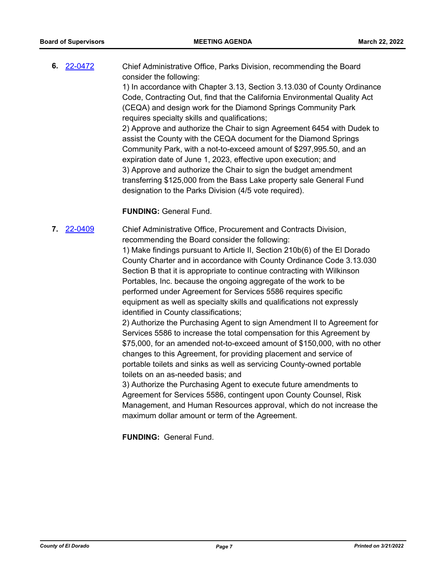**6.** [22-0472](http://eldorado.legistar.com/gateway.aspx?m=l&id=/matter.aspx?key=31373) Chief Administrative Office, Parks Division, recommending the Board consider the following: 1) In accordance with Chapter 3.13, Section 3.13.030 of County Ordinance Code, Contracting Out, find that the California Environmental Quality Act (CEQA) and design work for the Diamond Springs Community Park requires specialty skills and qualifications; 2) Approve and authorize the Chair to sign Agreement 6454 with Dudek to assist the County with the CEQA document for the Diamond Springs Community Park, with a not-to-exceed amount of \$297,995.50, and an expiration date of June 1, 2023, effective upon execution; and 3) Approve and authorize the Chair to sign the budget amendment transferring \$125,000 from the Bass Lake property sale General Fund designation to the Parks Division (4/5 vote required).

#### **FUNDING:** General Fund.

**7.** [22-0409](http://eldorado.legistar.com/gateway.aspx?m=l&id=/matter.aspx?key=31310) Chief Administrative Office, Procurement and Contracts Division, recommending the Board consider the following: 1) Make findings pursuant to Article II, Section 210b(6) of the El Dorado County Charter and in accordance with County Ordinance Code 3.13.030 Section B that it is appropriate to continue contracting with Wilkinson Portables, Inc. because the ongoing aggregate of the work to be performed under Agreement for Services 5586 requires specific equipment as well as specialty skills and qualifications not expressly identified in County classifications;

> 2) Authorize the Purchasing Agent to sign Amendment II to Agreement for Services 5586 to increase the total compensation for this Agreement by \$75,000, for an amended not-to-exceed amount of \$150,000, with no other changes to this Agreement, for providing placement and service of portable toilets and sinks as well as servicing County-owned portable toilets on an as-needed basis; and

> 3) Authorize the Purchasing Agent to execute future amendments to Agreement for Services 5586, contingent upon County Counsel, Risk Management, and Human Resources approval, which do not increase the maximum dollar amount or term of the Agreement.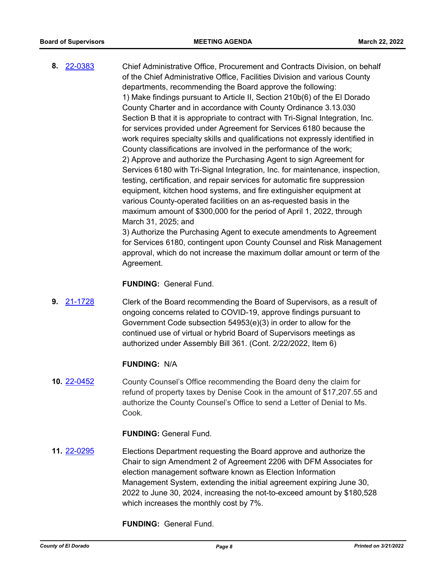**8.** [22-0383](http://eldorado.legistar.com/gateway.aspx?m=l&id=/matter.aspx?key=31284) Chief Administrative Office, Procurement and Contracts Division, on behalf of the Chief Administrative Office, Facilities Division and various County departments, recommending the Board approve the following: 1) Make findings pursuant to Article II, Section 210b(6) of the El Dorado County Charter and in accordance with County Ordinance 3.13.030 Section B that it is appropriate to contract with Tri-Signal Integration, Inc. for services provided under Agreement for Services 6180 because the work requires specialty skills and qualifications not expressly identified in County classifications are involved in the performance of the work; 2) Approve and authorize the Purchasing Agent to sign Agreement for Services 6180 with Tri-Signal Integration, Inc. for maintenance, inspection, testing, certification, and repair services for automatic fire suppression equipment, kitchen hood systems, and fire extinguisher equipment at various County-operated facilities on an as-requested basis in the maximum amount of \$300,000 for the period of April 1, 2022, through March 31, 2025; and

3) Authorize the Purchasing Agent to execute amendments to Agreement for Services 6180, contingent upon County Counsel and Risk Management approval, which do not increase the maximum dollar amount or term of the Agreement.

**FUNDING:** General Fund.

**9.** [21-1728](http://eldorado.legistar.com/gateway.aspx?m=l&id=/matter.aspx?key=30623) Clerk of the Board recommending the Board of Supervisors, as a result of ongoing concerns related to COVID-19, approve findings pursuant to Government Code subsection 54953(e)(3) in order to allow for the continued use of virtual or hybrid Board of Supervisors meetings as authorized under Assembly Bill 361. (Cont. 2/22/2022, Item 6)

#### **FUNDING:** N/A

**10.** [22-0452](http://eldorado.legistar.com/gateway.aspx?m=l&id=/matter.aspx?key=31353) County Counsel's Office recommending the Board deny the claim for refund of property taxes by Denise Cook in the amount of \$17,207.55 and authorize the County Counsel's Office to send a Letter of Denial to Ms. Cook.

**FUNDING:** General Fund.

**11.** [22-0295](http://eldorado.legistar.com/gateway.aspx?m=l&id=/matter.aspx?key=31196) Elections Department requesting the Board approve and authorize the Chair to sign Amendment 2 of Agreement 2206 with DFM Associates for election management software known as Election Information Management System, extending the initial agreement expiring June 30, 2022 to June 30, 2024, increasing the not-to-exceed amount by \$180,528 which increases the monthly cost by 7%.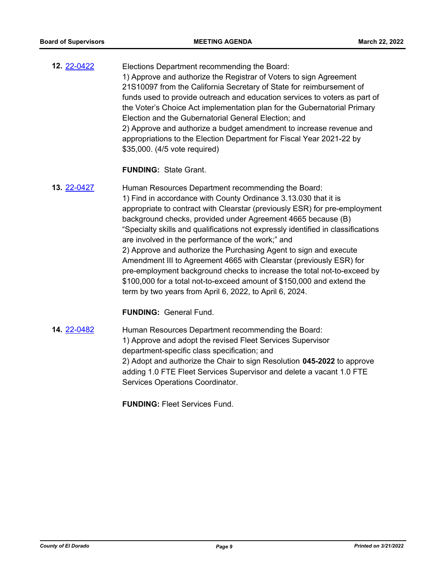**12.** [22-0422](http://eldorado.legistar.com/gateway.aspx?m=l&id=/matter.aspx?key=31323) Elections Department recommending the Board: 1) Approve and authorize the Registrar of Voters to sign Agreement 21S10097 from the California Secretary of State for reimbursement of funds used to provide outreach and education services to voters as part of the Voter's Choice Act implementation plan for the Gubernatorial Primary Election and the Gubernatorial General Election; and 2) Approve and authorize a budget amendment to increase revenue and appropriations to the Election Department for Fiscal Year 2021-22 by \$35,000. (4/5 vote required)

#### **FUNDING:** State Grant.

**13.** [22-0427](http://eldorado.legistar.com/gateway.aspx?m=l&id=/matter.aspx?key=31328) Human Resources Department recommending the Board: 1) Find in accordance with County Ordinance 3.13.030 that it is appropriate to contract with Clearstar (previously ESR) for pre-employment background checks, provided under Agreement 4665 because (B) "Specialty skills and qualifications not expressly identified in classifications are involved in the performance of the work;" and 2) Approve and authorize the Purchasing Agent to sign and execute Amendment III to Agreement 4665 with Clearstar (previously ESR) for pre-employment background checks to increase the total not-to-exceed by \$100,000 for a total not-to-exceed amount of \$150,000 and extend the term by two years from April 6, 2022, to April 6, 2024.

#### **FUNDING:** General Fund.

**14.** [22-0482](http://eldorado.legistar.com/gateway.aspx?m=l&id=/matter.aspx?key=31383) Human Resources Department recommending the Board: 1) Approve and adopt the revised Fleet Services Supervisor department-specific class specification; and 2) Adopt and authorize the Chair to sign Resolution **045-2022** to approve adding 1.0 FTE Fleet Services Supervisor and delete a vacant 1.0 FTE Services Operations Coordinator.

**FUNDING:** Fleet Services Fund.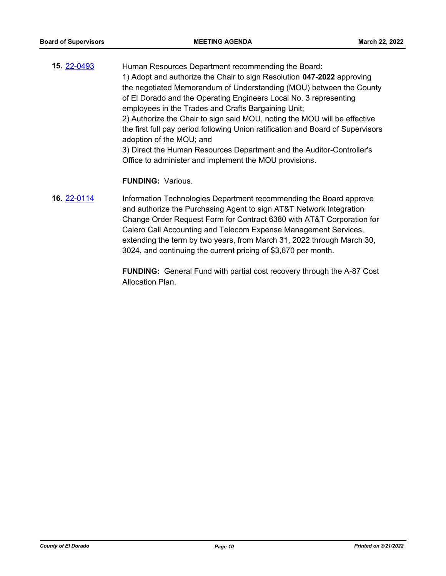**15.** [22-0493](http://eldorado.legistar.com/gateway.aspx?m=l&id=/matter.aspx?key=31394) Human Resources Department recommending the Board: 1) Adopt and authorize the Chair to sign Resolution **047-2022** approving the negotiated Memorandum of Understanding (MOU) between the County of El Dorado and the Operating Engineers Local No. 3 representing employees in the Trades and Crafts Bargaining Unit; 2) Authorize the Chair to sign said MOU, noting the MOU will be effective the first full pay period following Union ratification and Board of Supervisors adoption of the MOU; and 3) Direct the Human Resources Department and the Auditor-Controller's Office to administer and implement the MOU provisions.

#### **FUNDING:** Various.

**16.** [22-0114](http://eldorado.legistar.com/gateway.aspx?m=l&id=/matter.aspx?key=31015) Information Technologies Department recommending the Board approve and authorize the Purchasing Agent to sign AT&T Network Integration Change Order Request Form for Contract 6380 with AT&T Corporation for Calero Call Accounting and Telecom Expense Management Services, extending the term by two years, from March 31, 2022 through March 30, 3024, and continuing the current pricing of \$3,670 per month.

> **FUNDING:** General Fund with partial cost recovery through the A-87 Cost Allocation Plan.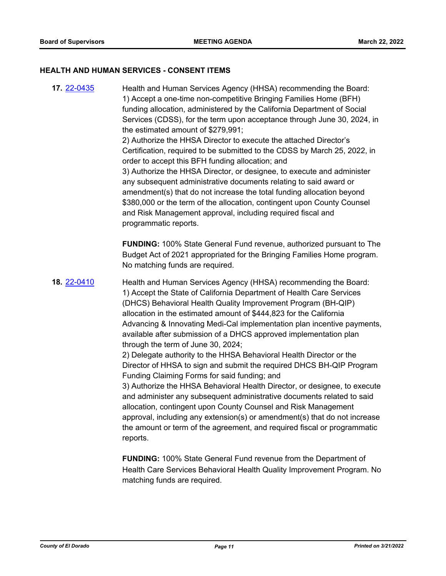#### **HEALTH AND HUMAN SERVICES - CONSENT ITEMS**

**17.** [22-0435](http://eldorado.legistar.com/gateway.aspx?m=l&id=/matter.aspx?key=31336) Health and Human Services Agency (HHSA) recommending the Board: 1) Accept a one-time non-competitive Bringing Families Home (BFH) funding allocation, administered by the California Department of Social Services (CDSS), for the term upon acceptance through June 30, 2024, in the estimated amount of \$279,991; 2) Authorize the HHSA Director to execute the attached Director's Certification, required to be submitted to the CDSS by March 25, 2022, in order to accept this BFH funding allocation; and 3) Authorize the HHSA Director, or designee, to execute and administer any subsequent administrative documents relating to said award or amendment(s) that do not increase the total funding allocation beyond \$380,000 or the term of the allocation, contingent upon County Counsel and Risk Management approval, including required fiscal and programmatic reports. **FUNDING:** 100% State General Fund revenue, authorized pursuant to The Budget Act of 2021 appropriated for the Bringing Families Home program. No matching funds are required. **18.** [22-0410](http://eldorado.legistar.com/gateway.aspx?m=l&id=/matter.aspx?key=31311) Health and Human Services Agency (HHSA) recommending the Board: 1) Accept the State of California Department of Health Care Services (DHCS) Behavioral Health Quality Improvement Program (BH-QIP) allocation in the estimated amount of \$444,823 for the California Advancing & Innovating Medi-Cal implementation plan incentive payments, available after submission of a DHCS approved implementation plan through the term of June 30, 2024; 2) Delegate authority to the HHSA Behavioral Health Director or the Director of HHSA to sign and submit the required DHCS BH-QIP Program Funding Claiming Forms for said funding; and 3) Authorize the HHSA Behavioral Health Director, or designee, to execute and administer any subsequent administrative documents related to said allocation, contingent upon County Counsel and Risk Management approval, including any extension(s) or amendment(s) that do not increase the amount or term of the agreement, and required fiscal or programmatic reports.

> **FUNDING:** 100% State General Fund revenue from the Department of Health Care Services Behavioral Health Quality Improvement Program. No matching funds are required.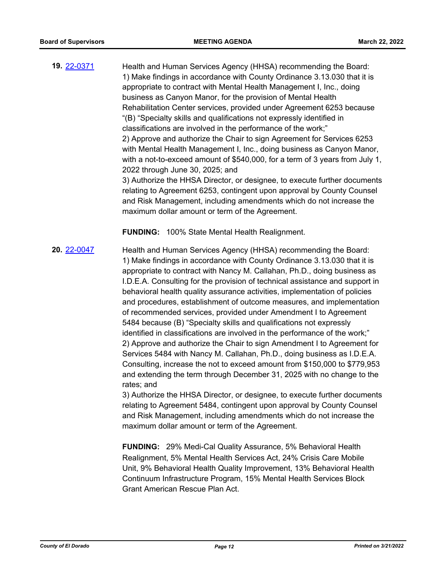**19.** [22-0371](http://eldorado.legistar.com/gateway.aspx?m=l&id=/matter.aspx?key=31272) Health and Human Services Agency (HHSA) recommending the Board: 1) Make findings in accordance with County Ordinance 3.13.030 that it is appropriate to contract with Mental Health Management I, Inc., doing business as Canyon Manor, for the provision of Mental Health Rehabilitation Center services, provided under Agreement 6253 because "(B) "Specialty skills and qualifications not expressly identified in classifications are involved in the performance of the work;" 2) Approve and authorize the Chair to sign Agreement for Services 6253 with Mental Health Management I, Inc., doing business as Canyon Manor, with a not-to-exceed amount of \$540,000, for a term of 3 years from July 1, 2022 through June 30, 2025; and 3) Authorize the HHSA Director, or designee, to execute further documents relating to Agreement 6253, contingent upon approval by County Counsel and Risk Management, including amendments which do not increase the maximum dollar amount or term of the Agreement.

**FUNDING:** 100% State Mental Health Realignment.

**20.** [22-0047](http://eldorado.legistar.com/gateway.aspx?m=l&id=/matter.aspx?key=30947) Health and Human Services Agency (HHSA) recommending the Board: 1) Make findings in accordance with County Ordinance 3.13.030 that it is appropriate to contract with Nancy M. Callahan, Ph.D., doing business as I.D.E.A. Consulting for the provision of technical assistance and support in behavioral health quality assurance activities, implementation of policies and procedures, establishment of outcome measures, and implementation of recommended services, provided under Amendment I to Agreement 5484 because (B) "Specialty skills and qualifications not expressly identified in classifications are involved in the performance of the work;" 2) Approve and authorize the Chair to sign Amendment I to Agreement for Services 5484 with Nancy M. Callahan, Ph.D., doing business as I.D.E.A. Consulting, increase the not to exceed amount from \$150,000 to \$779,953 and extending the term through December 31, 2025 with no change to the rates; and

> 3) Authorize the HHSA Director, or designee, to execute further documents relating to Agreement 5484, contingent upon approval by County Counsel and Risk Management, including amendments which do not increase the maximum dollar amount or term of the Agreement.

**FUNDING:** 29% Medi-Cal Quality Assurance, 5% Behavioral Health Realignment, 5% Mental Health Services Act, 24% Crisis Care Mobile Unit, 9% Behavioral Health Quality Improvement, 13% Behavioral Health Continuum Infrastructure Program, 15% Mental Health Services Block Grant American Rescue Plan Act.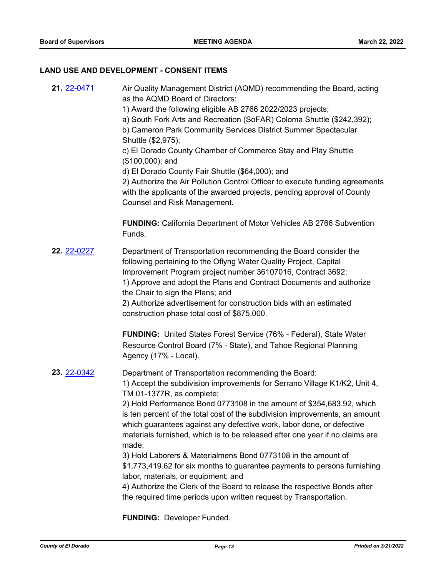## **LAND USE AND DEVELOPMENT - CONSENT ITEMS**

| 21. 22-0471 | Air Quality Management District (AQMD) recommending the Board, acting<br>as the AQMD Board of Directors:<br>1) Award the following eligible AB 2766 2022/2023 projects;<br>a) South Fork Arts and Recreation (SoFAR) Coloma Shuttle (\$242,392);<br>b) Cameron Park Community Services District Summer Spectacular<br>Shuttle (\$2,975);<br>c) El Dorado County Chamber of Commerce Stay and Play Shuttle<br>$($100,000);$ and<br>d) El Dorado County Fair Shuttle (\$64,000); and<br>2) Authorize the Air Pollution Control Officer to execute funding agreements<br>with the applicants of the awarded projects, pending approval of County<br><b>Counsel and Risk Management.</b>                                                                                                                                            |
|-------------|---------------------------------------------------------------------------------------------------------------------------------------------------------------------------------------------------------------------------------------------------------------------------------------------------------------------------------------------------------------------------------------------------------------------------------------------------------------------------------------------------------------------------------------------------------------------------------------------------------------------------------------------------------------------------------------------------------------------------------------------------------------------------------------------------------------------------------|
|             | <b>FUNDING:</b> California Department of Motor Vehicles AB 2766 Subvention<br>Funds.                                                                                                                                                                                                                                                                                                                                                                                                                                                                                                                                                                                                                                                                                                                                            |
| 22. 22-0227 | Department of Transportation recommending the Board consider the<br>following pertaining to the Oflyng Water Quality Project, Capital<br>Improvement Program project number 36107016, Contract 3692:<br>1) Approve and adopt the Plans and Contract Documents and authorize<br>the Chair to sign the Plans; and<br>2) Authorize advertisement for construction bids with an estimated<br>construction phase total cost of \$875,000.                                                                                                                                                                                                                                                                                                                                                                                            |
|             | <b>FUNDING:</b> United States Forest Service (76% - Federal), State Water<br>Resource Control Board (7% - State), and Tahoe Regional Planning<br>Agency (17% - Local).                                                                                                                                                                                                                                                                                                                                                                                                                                                                                                                                                                                                                                                          |
| 23. 22-0342 | Department of Transportation recommending the Board:<br>1) Accept the subdivision improvements for Serrano Village K1/K2, Unit 4,<br>TM 01-1377R, as complete;<br>2) Hold Performance Bond 0773108 in the amount of \$354,683.92, which<br>is ten percent of the total cost of the subdivision improvements, an amount<br>which guarantees against any defective work, labor done, or defective<br>materials furnished, which is to be released after one year if no claims are<br>made;<br>3) Hold Laborers & Materialmens Bond 0773108 in the amount of<br>\$1,773,419.62 for six months to guarantee payments to persons furnishing<br>labor, materials, or equipment; and<br>4) Authorize the Clerk of the Board to release the respective Bonds after<br>the required time periods upon written request by Transportation. |

**FUNDING:** Developer Funded.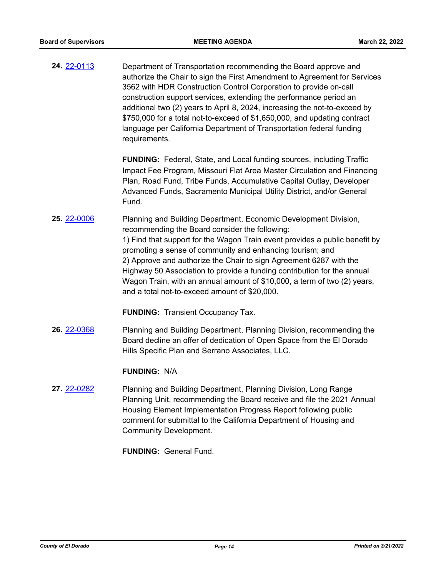**24.** [22-0113](http://eldorado.legistar.com/gateway.aspx?m=l&id=/matter.aspx?key=31014) Department of Transportation recommending the Board approve and authorize the Chair to sign the First Amendment to Agreement for Services 3562 with HDR Construction Control Corporation to provide on-call construction support services, extending the performance period an additional two (2) years to April 8, 2024, increasing the not-to-exceed by \$750,000 for a total not-to-exceed of \$1,650,000, and updating contract language per California Department of Transportation federal funding requirements.

> **FUNDING:** Federal, State, and Local funding sources, including Traffic Impact Fee Program, Missouri Flat Area Master Circulation and Financing Plan, Road Fund, Tribe Funds, Accumulative Capital Outlay, Developer Advanced Funds, Sacramento Municipal Utility District, and/or General Fund.

**25.** [22-0006](http://eldorado.legistar.com/gateway.aspx?m=l&id=/matter.aspx?key=30907) Planning and Building Department, Economic Development Division, recommending the Board consider the following: 1) Find that support for the Wagon Train event provides a public benefit by promoting a sense of community and enhancing tourism; and 2) Approve and authorize the Chair to sign Agreement 6287 with the Highway 50 Association to provide a funding contribution for the annual Wagon Train, with an annual amount of \$10,000, a term of two (2) years, and a total not-to-exceed amount of \$20,000.

**FUNDING:** Transient Occupancy Tax.

**26.** [22-0368](http://eldorado.legistar.com/gateway.aspx?m=l&id=/matter.aspx?key=31269) Planning and Building Department, Planning Division, recommending the Board decline an offer of dedication of Open Space from the El Dorado Hills Specific Plan and Serrano Associates, LLC.

#### **FUNDING:** N/A

**27.** [22-0282](http://eldorado.legistar.com/gateway.aspx?m=l&id=/matter.aspx?key=31183) Planning and Building Department, Planning Division, Long Range Planning Unit, recommending the Board receive and file the 2021 Annual Housing Element Implementation Progress Report following public comment for submittal to the California Department of Housing and Community Development.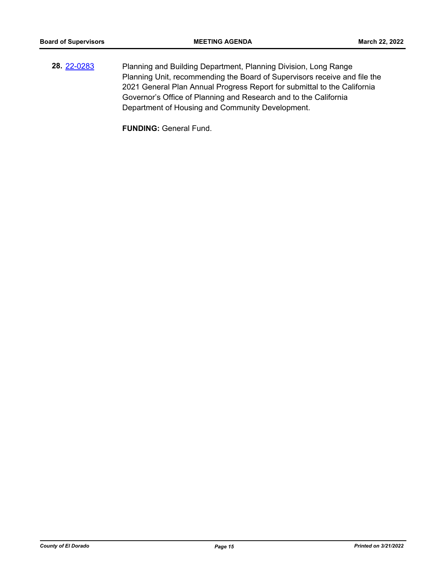**28.** [22-0283](http://eldorado.legistar.com/gateway.aspx?m=l&id=/matter.aspx?key=31184) Planning and Building Department, Planning Division, Long Range Planning Unit, recommending the Board of Supervisors receive and file the 2021 General Plan Annual Progress Report for submittal to the California Governor's Office of Planning and Research and to the California Department of Housing and Community Development.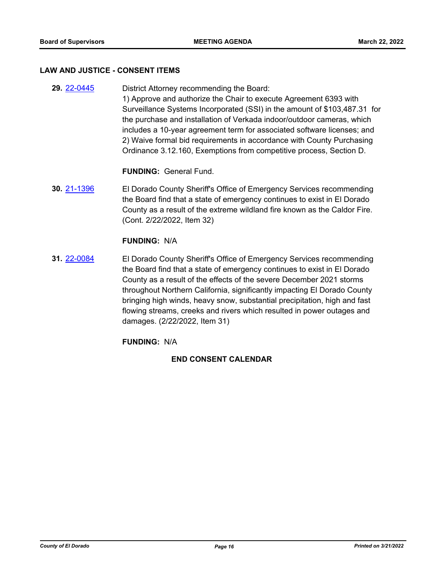#### **LAW AND JUSTICE - CONSENT ITEMS**

**29.** [22-0445](http://eldorado.legistar.com/gateway.aspx?m=l&id=/matter.aspx?key=31346) District Attorney recommending the Board: 1) Approve and authorize the Chair to execute Agreement 6393 with Surveillance Systems Incorporated (SSI) in the amount of \$103,487.31 for the purchase and installation of Verkada indoor/outdoor cameras, which includes a 10-year agreement term for associated software licenses; and 2) Waive formal bid requirements in accordance with County Purchasing Ordinance 3.12.160, Exemptions from competitive process, Section D.

**FUNDING:** General Fund.

**30.** [21-1396](http://eldorado.legistar.com/gateway.aspx?m=l&id=/matter.aspx?key=30291) El Dorado County Sheriff's Office of Emergency Services recommending the Board find that a state of emergency continues to exist in El Dorado County as a result of the extreme wildland fire known as the Caldor Fire. (Cont. 2/22/2022, Item 32)

#### **FUNDING:** N/A

**31.** [22-0084](http://eldorado.legistar.com/gateway.aspx?m=l&id=/matter.aspx?key=30984) El Dorado County Sheriff's Office of Emergency Services recommending the Board find that a state of emergency continues to exist in El Dorado County as a result of the effects of the severe December 2021 storms throughout Northern California, significantly impacting El Dorado County bringing high winds, heavy snow, substantial precipitation, high and fast flowing streams, creeks and rivers which resulted in power outages and damages. (2/22/2022, Item 31)

#### **FUNDING:** N/A

#### **END CONSENT CALENDAR**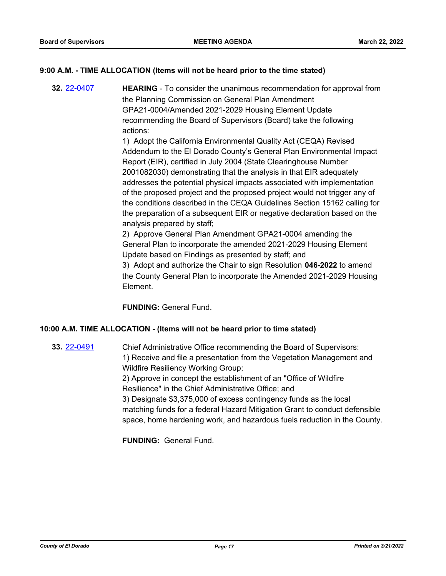### **9:00 A.M. - TIME ALLOCATION (Items will not be heard prior to the time stated)**

**32.** [22-0407](http://eldorado.legistar.com/gateway.aspx?m=l&id=/matter.aspx?key=31308) **HEARING** - To consider the unanimous recommendation for approval from the Planning Commission on General Plan Amendment GPA21-0004/Amended 2021-2029 Housing Element Update recommending the Board of Supervisors (Board) take the following actions:

> 1) Adopt the California Environmental Quality Act (CEQA) Revised Addendum to the El Dorado County's General Plan Environmental Impact Report (EIR), certified in July 2004 (State Clearinghouse Number 2001082030) demonstrating that the analysis in that EIR adequately addresses the potential physical impacts associated with implementation of the proposed project and the proposed project would not trigger any of the conditions described in the CEQA Guidelines Section 15162 calling for the preparation of a subsequent EIR or negative declaration based on the analysis prepared by staff;

2) Approve General Plan Amendment GPA21-0004 amending the General Plan to incorporate the amended 2021-2029 Housing Element Update based on Findings as presented by staff; and

3) Adopt and authorize the Chair to sign Resolution **046-2022** to amend the County General Plan to incorporate the Amended 2021-2029 Housing Element.

**FUNDING:** General Fund.

#### **10:00 A.M. TIME ALLOCATION - (Items will not be heard prior to time stated)**

**33.** [22-0491](http://eldorado.legistar.com/gateway.aspx?m=l&id=/matter.aspx?key=31392) Chief Administrative Office recommending the Board of Supervisors: 1) Receive and file a presentation from the Vegetation Management and Wildfire Resiliency Working Group; 2) Approve in concept the establishment of an "Office of Wildfire Resilience" in the Chief Administrative Office; and 3) Designate \$3,375,000 of excess contingency funds as the local matching funds for a federal Hazard Mitigation Grant to conduct defensible space, home hardening work, and hazardous fuels reduction in the County.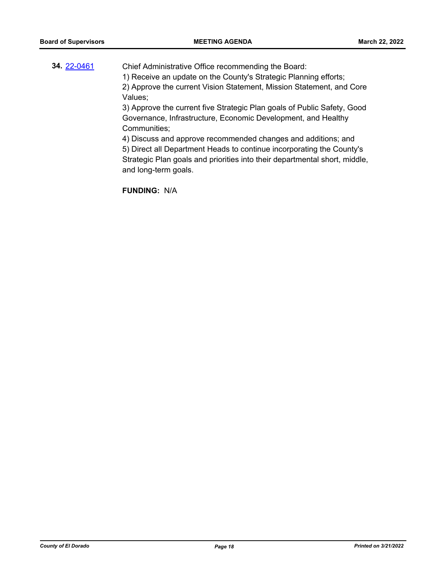## **34.** [22-0461](http://eldorado.legistar.com/gateway.aspx?m=l&id=/matter.aspx?key=31362) Chief Administrative Office recommending the Board: 1) Receive an update on the County's Strategic Planning efforts; 2) Approve the current Vision Statement, Mission Statement, and Core Values; 3) Approve the current five Strategic Plan goals of Public Safety, Good Governance, Infrastructure, Economic Development, and Healthy Communities; 4) Discuss and approve recommended changes and additions; and 5) Direct all Department Heads to continue incorporating the County's

Strategic Plan goals and priorities into their departmental short, middle, and long-term goals.

**FUNDING:** N/A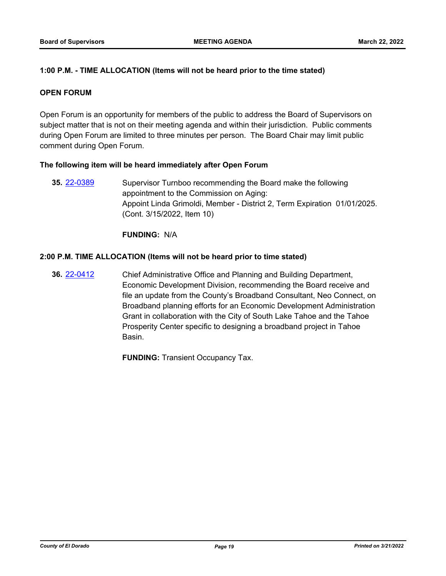## **1:00 P.M. - TIME ALLOCATION (Items will not be heard prior to the time stated)**

#### **OPEN FORUM**

Open Forum is an opportunity for members of the public to address the Board of Supervisors on subject matter that is not on their meeting agenda and within their jurisdiction. Public comments during Open Forum are limited to three minutes per person. The Board Chair may limit public comment during Open Forum.

#### **The following item will be heard immediately after Open Forum**

**35.** [22-0389](http://eldorado.legistar.com/gateway.aspx?m=l&id=/matter.aspx?key=31290) Supervisor Turnboo recommending the Board make the following appointment to the Commission on Aging: Appoint Linda Grimoldi, Member - District 2, Term Expiration 01/01/2025. (Cont. 3/15/2022, Item 10)

**FUNDING:** N/A

#### **2:00 P.M. TIME ALLOCATION (Items will not be heard prior to time stated)**

**36.** [22-0412](http://eldorado.legistar.com/gateway.aspx?m=l&id=/matter.aspx?key=31313) Chief Administrative Office and Planning and Building Department, Economic Development Division, recommending the Board receive and file an update from the County's Broadband Consultant, Neo Connect, on Broadband planning efforts for an Economic Development Administration Grant in collaboration with the City of South Lake Tahoe and the Tahoe Prosperity Center specific to designing a broadband project in Tahoe Basin.

**FUNDING:** Transient Occupancy Tax.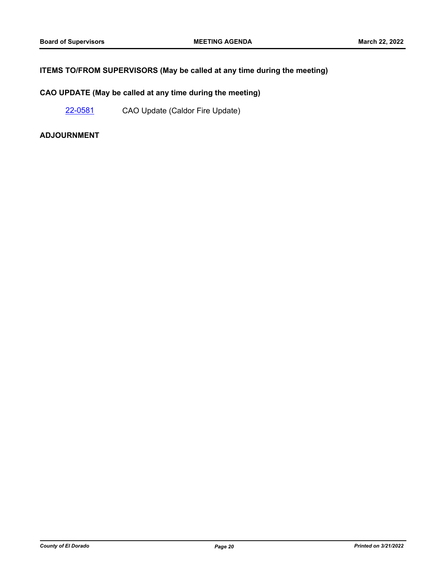## **ITEMS TO/FROM SUPERVISORS (May be called at any time during the meeting)**

## **CAO UPDATE (May be called at any time during the meeting)**

[22-0581](http://eldorado.legistar.com/gateway.aspx?m=l&id=/matter.aspx?key=31482) CAO Update (Caldor Fire Update)

#### **ADJOURNMENT**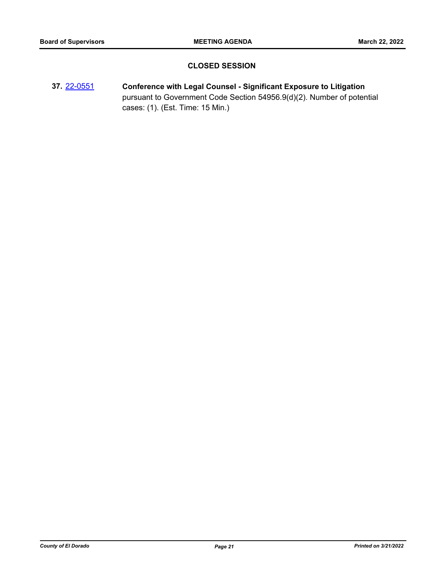## **CLOSED SESSION**

**37.** [22-0551](http://eldorado.legistar.com/gateway.aspx?m=l&id=/matter.aspx?key=31452) **Conference with Legal Counsel - Significant Exposure to Litigation** pursuant to Government Code Section 54956.9(d)(2). Number of potential cases: (1). (Est. Time: 15 Min.)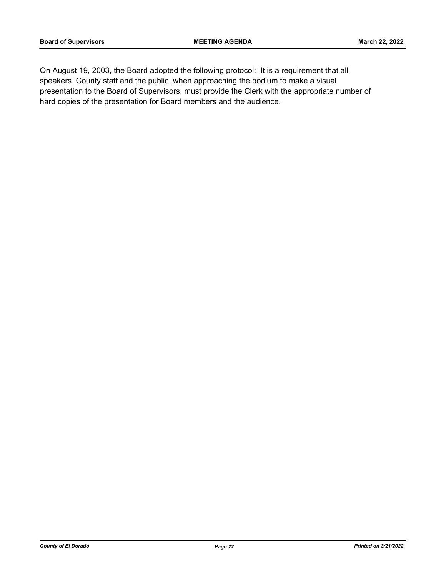On August 19, 2003, the Board adopted the following protocol: It is a requirement that all speakers, County staff and the public, when approaching the podium to make a visual presentation to the Board of Supervisors, must provide the Clerk with the appropriate number of hard copies of the presentation for Board members and the audience.